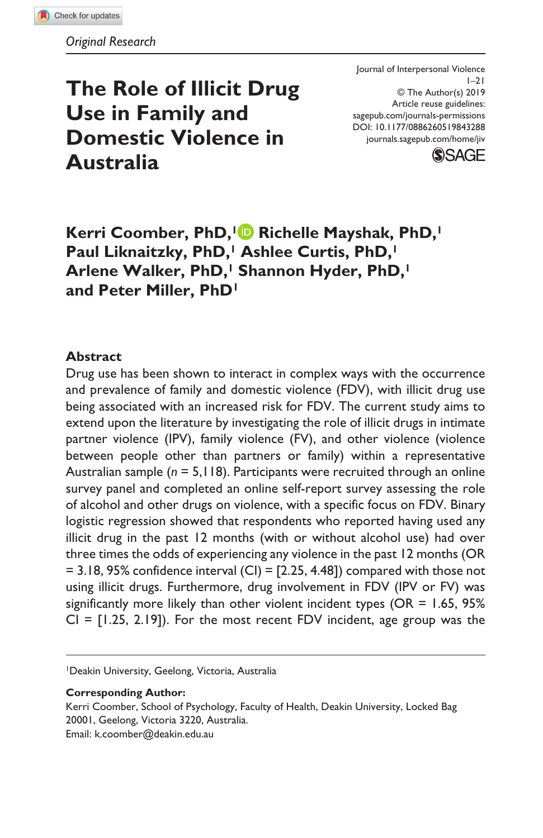# **The Role of Illicit Drug Use in Family and Domestic Violence in Australia**

DOI: 10.1177/0886260519843288 Journal of Interpersonal Violence  $1 - 21$ © The Author(s) 2019 Article reuse guidelines: [sagepub.com/journals-permissions](https://us.sagepub.com/en-us/journals-permissions) [journals.sagepub.com/home/jiv](https://journals.sagepub.com/home/jiv)



Kerri Coomber, PhD,<sup>1</sup> Richelle Mayshak, PhD,<sup>1</sup> Paul Liknaitzky, PhD,<sup>1</sup> Ashlee Curtis, PhD,<sup>1</sup> Arlene Walker, PhD,<sup>1</sup> Shannon Hyder, PhD,<sup>1</sup> **and Peter Miller, PhD1**

### **Abstract**

Drug use has been shown to interact in complex ways with the occurrence and prevalence of family and domestic violence (FDV), with illicit drug use being associated with an increased risk for FDV. The current study aims to extend upon the literature by investigating the role of illicit drugs in intimate partner violence (IPV), family violence (FV), and other violence (violence between people other than partners or family) within a representative Australian sample (*n* = 5,118). Participants were recruited through an online survey panel and completed an online self-report survey assessing the role of alcohol and other drugs on violence, with a specific focus on FDV. Binary logistic regression showed that respondents who reported having used any illicit drug in the past 12 months (with or without alcohol use) had over three times the odds of experiencing any violence in the past 12 months (OR  $= 3.18, 95\%$  confidence interval (CI) = [2.25, 4.48]) compared with those not using illicit drugs. Furthermore, drug involvement in FDV (IPV or FV) was significantly more likely than other violent incident types (OR = 1.65, 95%  $CI = [1.25, 2.19]$ . For the most recent FDV incident, age group was the

1Deakin University, Geelong, Victoria, Australia

#### **Corresponding Author:**

Kerri Coomber, School of Psychology, Faculty of Health, Deakin University, Locked Bag 20001, Geelong, Victoria 3220, Australia. Email: [k.coomber@deakin.edu.au](mailto:k.coomber@deakin.edu.au)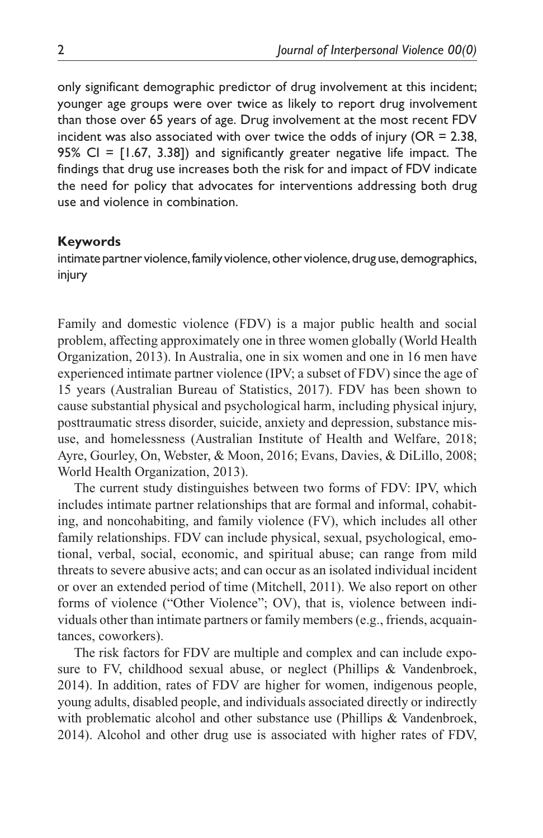only significant demographic predictor of drug involvement at this incident; younger age groups were over twice as likely to report drug involvement than those over 65 years of age. Drug involvement at the most recent FDV incident was also associated with over twice the odds of injury ( $OR = 2.38$ , 95% CI = [1.67, 3.38]) and significantly greater negative life impact. The findings that drug use increases both the risk for and impact of FDV indicate the need for policy that advocates for interventions addressing both drug use and violence in combination.

#### **Keywords**

intimate partner violence, family violence, other violence, drug use, demographics, injury

Family and domestic violence (FDV) is a major public health and social problem, affecting approximately one in three women globally (World Health Organization, 2013). In Australia, one in six women and one in 16 men have experienced intimate partner violence (IPV; a subset of FDV) since the age of 15 years (Australian Bureau of Statistics, 2017). FDV has been shown to cause substantial physical and psychological harm, including physical injury, posttraumatic stress disorder, suicide, anxiety and depression, substance misuse, and homelessness (Australian Institute of Health and Welfare, 2018; Ayre, Gourley, On, Webster, & Moon, 2016; Evans, Davies, & DiLillo, 2008; World Health Organization, 2013).

The current study distinguishes between two forms of FDV: IPV, which includes intimate partner relationships that are formal and informal, cohabiting, and noncohabiting, and family violence (FV), which includes all other family relationships. FDV can include physical, sexual, psychological, emotional, verbal, social, economic, and spiritual abuse; can range from mild threats to severe abusive acts; and can occur as an isolated individual incident or over an extended period of time (Mitchell, 2011). We also report on other forms of violence ("Other Violence"; OV), that is, violence between individuals other than intimate partners or family members (e.g., friends, acquaintances, coworkers).

The risk factors for FDV are multiple and complex and can include exposure to FV, childhood sexual abuse, or neglect (Phillips & Vandenbroek, 2014). In addition, rates of FDV are higher for women, indigenous people, young adults, disabled people, and individuals associated directly or indirectly with problematic alcohol and other substance use (Phillips & Vandenbroek, 2014). Alcohol and other drug use is associated with higher rates of FDV,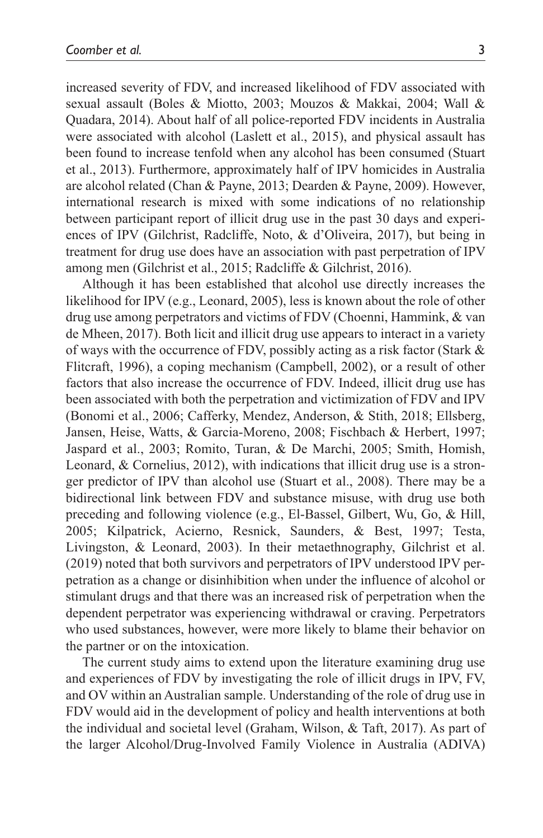increased severity of FDV, and increased likelihood of FDV associated with sexual assault (Boles & Miotto, 2003; Mouzos & Makkai, 2004; Wall & Quadara, 2014). About half of all police-reported FDV incidents in Australia were associated with alcohol (Laslett et al., 2015), and physical assault has been found to increase tenfold when any alcohol has been consumed (Stuart et al., 2013). Furthermore, approximately half of IPV homicides in Australia are alcohol related (Chan & Payne, 2013; Dearden & Payne, 2009). However, international research is mixed with some indications of no relationship between participant report of illicit drug use in the past 30 days and experiences of IPV (Gilchrist, Radcliffe, Noto, & d'Oliveira, 2017), but being in treatment for drug use does have an association with past perpetration of IPV among men (Gilchrist et al., 2015; Radcliffe & Gilchrist, 2016).

Although it has been established that alcohol use directly increases the likelihood for IPV (e.g., Leonard, 2005), less is known about the role of other drug use among perpetrators and victims of FDV (Choenni, Hammink, & van de Mheen, 2017). Both licit and illicit drug use appears to interact in a variety of ways with the occurrence of FDV, possibly acting as a risk factor (Stark & Flitcraft, 1996), a coping mechanism (Campbell, 2002), or a result of other factors that also increase the occurrence of FDV. Indeed, illicit drug use has been associated with both the perpetration and victimization of FDV and IPV (Bonomi et al., 2006; Cafferky, Mendez, Anderson, & Stith, 2018; Ellsberg, Jansen, Heise, Watts, & Garcia-Moreno, 2008; Fischbach & Herbert, 1997; Jaspard et al., 2003; Romito, Turan, & De Marchi, 2005; Smith, Homish, Leonard, & Cornelius, 2012), with indications that illicit drug use is a stronger predictor of IPV than alcohol use (Stuart et al., 2008). There may be a bidirectional link between FDV and substance misuse, with drug use both preceding and following violence (e.g., El-Bassel, Gilbert, Wu, Go, & Hill, 2005; Kilpatrick, Acierno, Resnick, Saunders, & Best, 1997; Testa, Livingston, & Leonard, 2003). In their metaethnography, Gilchrist et al. (2019) noted that both survivors and perpetrators of IPV understood IPV perpetration as a change or disinhibition when under the influence of alcohol or stimulant drugs and that there was an increased risk of perpetration when the dependent perpetrator was experiencing withdrawal or craving. Perpetrators who used substances, however, were more likely to blame their behavior on the partner or on the intoxication.

The current study aims to extend upon the literature examining drug use and experiences of FDV by investigating the role of illicit drugs in IPV, FV, and OV within an Australian sample. Understanding of the role of drug use in FDV would aid in the development of policy and health interventions at both the individual and societal level (Graham, Wilson, & Taft, 2017). As part of the larger Alcohol/Drug-Involved Family Violence in Australia (ADIVA)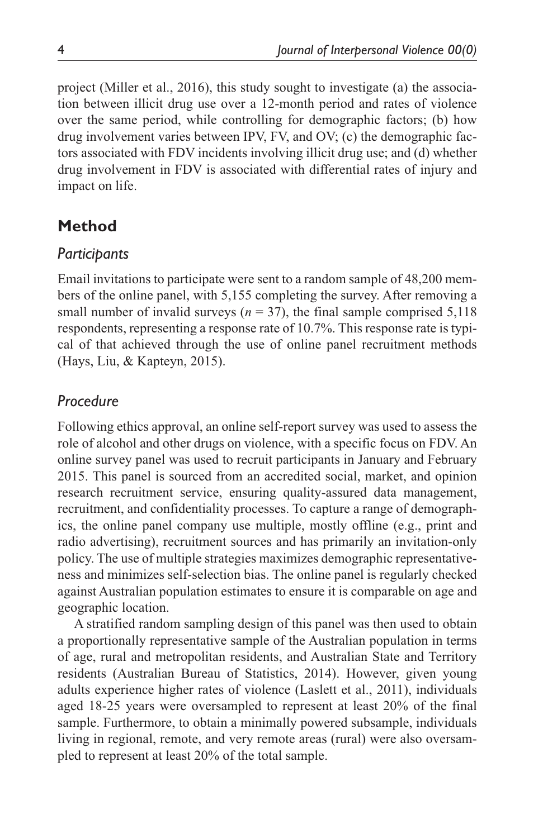project (Miller et al., 2016), this study sought to investigate (a) the association between illicit drug use over a 12-month period and rates of violence over the same period, while controlling for demographic factors; (b) how drug involvement varies between IPV, FV, and OV; (c) the demographic factors associated with FDV incidents involving illicit drug use; and (d) whether drug involvement in FDV is associated with differential rates of injury and impact on life.

# **Method**

### *Participants*

Email invitations to participate were sent to a random sample of 48,200 members of the online panel, with 5,155 completing the survey. After removing a small number of invalid surveys ( $n = 37$ ), the final sample comprised 5,118 respondents, representing a response rate of 10.7%. This response rate is typical of that achieved through the use of online panel recruitment methods (Hays, Liu, & Kapteyn, 2015).

# *Procedure*

Following ethics approval, an online self-report survey was used to assess the role of alcohol and other drugs on violence, with a specific focus on FDV. An online survey panel was used to recruit participants in January and February 2015. This panel is sourced from an accredited social, market, and opinion research recruitment service, ensuring quality-assured data management, recruitment, and confidentiality processes. To capture a range of demographics, the online panel company use multiple, mostly offline (e.g., print and radio advertising), recruitment sources and has primarily an invitation-only policy. The use of multiple strategies maximizes demographic representativeness and minimizes self-selection bias. The online panel is regularly checked against Australian population estimates to ensure it is comparable on age and geographic location.

A stratified random sampling design of this panel was then used to obtain a proportionally representative sample of the Australian population in terms of age, rural and metropolitan residents, and Australian State and Territory residents (Australian Bureau of Statistics, 2014). However, given young adults experience higher rates of violence (Laslett et al., 2011), individuals aged 18-25 years were oversampled to represent at least 20% of the final sample. Furthermore, to obtain a minimally powered subsample, individuals living in regional, remote, and very remote areas (rural) were also oversampled to represent at least 20% of the total sample.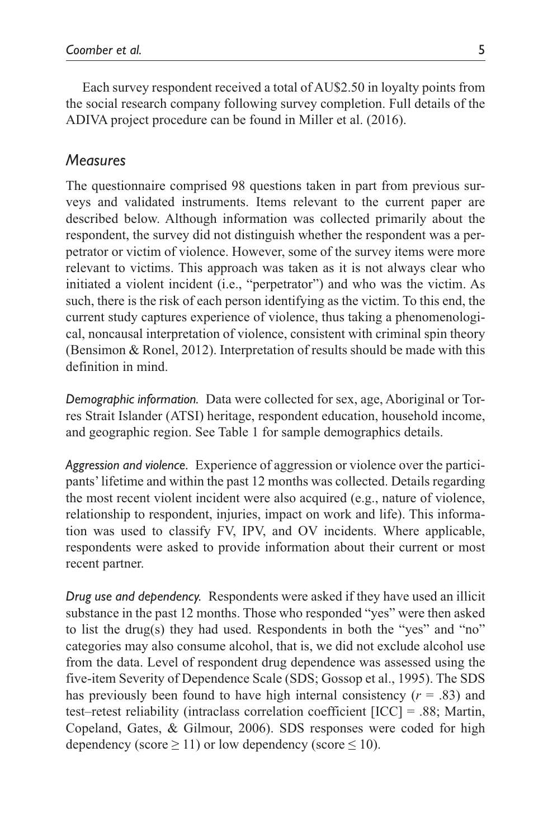Each survey respondent received a total of AU\$2.50 in loyalty points from the social research company following survey completion. Full details of the ADIVA project procedure can be found in Miller et al. (2016).

### *Measures*

The questionnaire comprised 98 questions taken in part from previous surveys and validated instruments. Items relevant to the current paper are described below. Although information was collected primarily about the respondent, the survey did not distinguish whether the respondent was a perpetrator or victim of violence. However, some of the survey items were more relevant to victims. This approach was taken as it is not always clear who initiated a violent incident (i.e., "perpetrator") and who was the victim. As such, there is the risk of each person identifying as the victim. To this end, the current study captures experience of violence, thus taking a phenomenological, noncausal interpretation of violence, consistent with criminal spin theory (Bensimon & Ronel, 2012). Interpretation of results should be made with this definition in mind.

*Demographic information.* Data were collected for sex, age, Aboriginal or Torres Strait Islander (ATSI) heritage, respondent education, household income, and geographic region. See Table 1 for sample demographics details.

*Aggression and violence.* Experience of aggression or violence over the participants' lifetime and within the past 12 months was collected. Details regarding the most recent violent incident were also acquired (e.g., nature of violence, relationship to respondent, injuries, impact on work and life). This information was used to classify FV, IPV, and OV incidents. Where applicable, respondents were asked to provide information about their current or most recent partner.

*Drug use and dependency.* Respondents were asked if they have used an illicit substance in the past 12 months. Those who responded "yes" were then asked to list the drug(s) they had used. Respondents in both the "yes" and "no" categories may also consume alcohol, that is, we did not exclude alcohol use from the data. Level of respondent drug dependence was assessed using the five-item Severity of Dependence Scale (SDS; Gossop et al., 1995). The SDS has previously been found to have high internal consistency  $(r = .83)$  and test–retest reliability (intraclass correlation coefficient [ICC] = .88; Martin, Copeland, Gates, & Gilmour, 2006). SDS responses were coded for high dependency (score  $\geq$  11) or low dependency (score  $\leq$  10).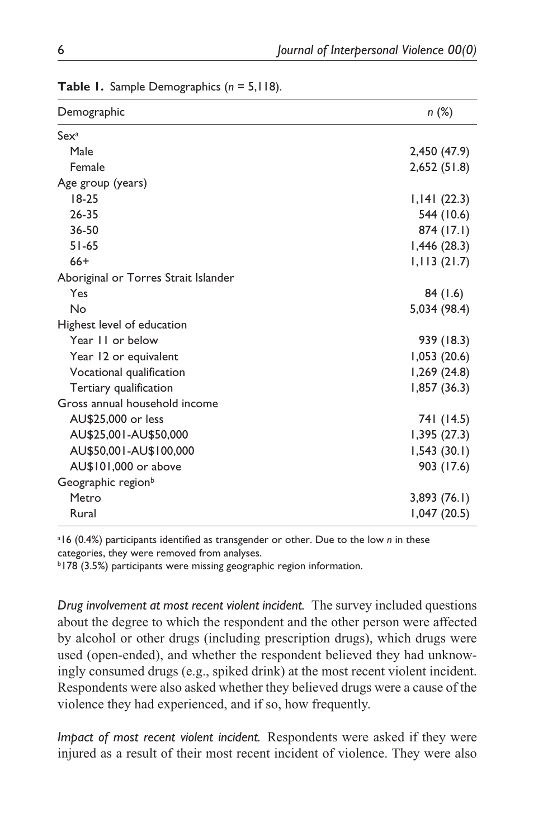| Demographic                          | n(%)         |
|--------------------------------------|--------------|
| Sex <sup>a</sup>                     |              |
| Male                                 | 2,450 (47.9) |
| Female                               | 2,652(51.8)  |
| Age group (years)                    |              |
| $18-25$                              | 1,141(22.3)  |
| $26 - 35$                            | 544 (10.6)   |
| 36-50                                | 874 (17.1)   |
| $51 - 65$                            | 1,446(28.3)  |
| $66+$                                | 1,113(21.7)  |
| Aboriginal or Torres Strait Islander |              |
| Yes                                  | 84(1.6)      |
| No                                   | 5,034 (98.4) |
| Highest level of education           |              |
| Year 11 or below                     | 939 (18.3)   |
| Year 12 or equivalent                | 1,053(20.6)  |
| Vocational qualification             | 1,269(24.8)  |
| Tertiary qualification               | 1,857(36.3)  |
| Gross annual household income        |              |
| AU\$25,000 or less                   | 741 (14.5)   |
| AU\$25,001-AU\$50,000                | 1,395(27.3)  |
| AU\$50,001-AU\$100,000               | 1,543(30.1)  |
| AU\$101,000 or above                 | 903 (17.6)   |
| Geographic region <sup>b</sup>       |              |
| Metro                                | 3,893(76.1)  |
| Rural                                | 1,047(20.5)  |
|                                      |              |

**Table 1.** Sample Demographics (*n* = 5,118).

a 16 (0.4%) participants identified as transgender or other. Due to the low *n* in these categories, they were removed from analyses.

b178 (3.5%) participants were missing geographic region information.

*Drug involvement at most recent violent incident.* The survey included questions about the degree to which the respondent and the other person were affected by alcohol or other drugs (including prescription drugs), which drugs were used (open-ended), and whether the respondent believed they had unknowingly consumed drugs (e.g., spiked drink) at the most recent violent incident. Respondents were also asked whether they believed drugs were a cause of the violence they had experienced, and if so, how frequently.

*Impact of most recent violent incident.* Respondents were asked if they were injured as a result of their most recent incident of violence. They were also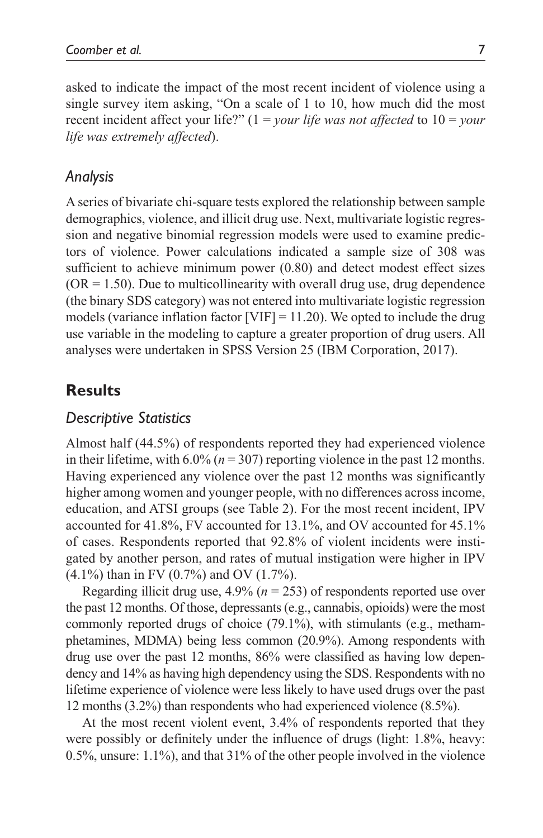asked to indicate the impact of the most recent incident of violence using a single survey item asking, "On a scale of 1 to 10, how much did the most recent incident affect your life?" (1 = *your life was not affected* to 10 = *your life was extremely affected*).

## *Analysis*

A series of bivariate chi-square tests explored the relationship between sample demographics, violence, and illicit drug use. Next, multivariate logistic regression and negative binomial regression models were used to examine predictors of violence. Power calculations indicated a sample size of 308 was sufficient to achieve minimum power (0.80) and detect modest effect sizes  $(OR = 1.50)$ . Due to multicollinearity with overall drug use, drug dependence (the binary SDS category) was not entered into multivariate logistic regression models (variance inflation factor [VIF]  $= 11.20$ ). We opted to include the drug use variable in the modeling to capture a greater proportion of drug users. All analyses were undertaken in SPSS Version 25 (IBM Corporation, 2017).

### **Results**

### *Descriptive Statistics*

Almost half (44.5%) of respondents reported they had experienced violence in their lifetime, with  $6.0\%$  ( $n = 307$ ) reporting violence in the past 12 months. Having experienced any violence over the past 12 months was significantly higher among women and younger people, with no differences across income, education, and ATSI groups (see Table 2). For the most recent incident, IPV accounted for 41.8%, FV accounted for 13.1%, and OV accounted for 45.1% of cases. Respondents reported that 92.8% of violent incidents were instigated by another person, and rates of mutual instigation were higher in IPV (4.1%) than in FV (0.7%) and OV (1.7%).

Regarding illicit drug use, 4.9% (*n* = 253) of respondents reported use over the past 12 months. Of those, depressants (e.g., cannabis, opioids) were the most commonly reported drugs of choice (79.1%), with stimulants (e.g., methamphetamines, MDMA) being less common (20.9%). Among respondents with drug use over the past 12 months, 86% were classified as having low dependency and 14% as having high dependency using the SDS. Respondents with no lifetime experience of violence were less likely to have used drugs over the past 12 months (3.2%) than respondents who had experienced violence (8.5%).

At the most recent violent event, 3.4% of respondents reported that they were possibly or definitely under the influence of drugs (light: 1.8%, heavy: 0.5%, unsure: 1.1%), and that 31% of the other people involved in the violence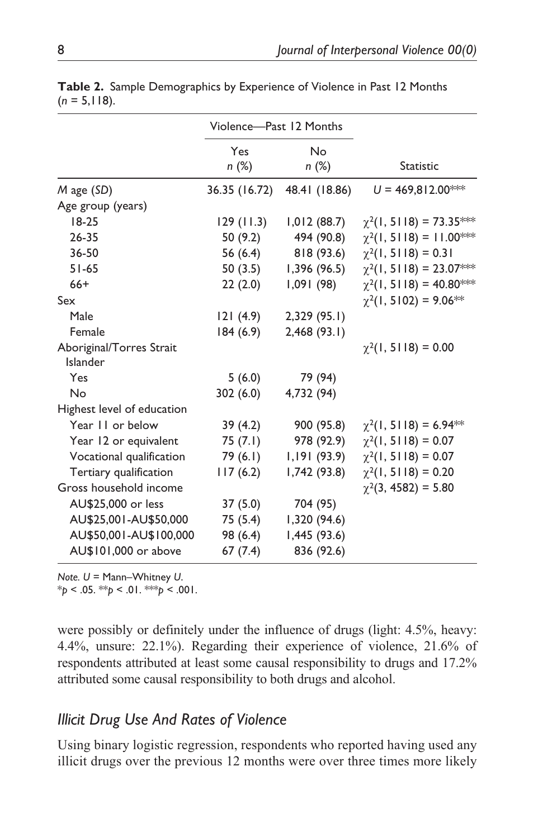|                                      | Violence-Past 12 Months |                    |                                 |
|--------------------------------------|-------------------------|--------------------|---------------------------------|
|                                      | Yes<br>n(%)             | <b>No</b><br>n (%) | <b>Statistic</b>                |
| M age (SD)                           | 36.35 (16.72)           | 48.41 (18.86)      | $U = 469.812.00^{***}$          |
| Age group (years)                    |                         |                    |                                 |
| $18-25$                              | 129(11.3)               | 1,012(88.7)        | $\chi^2(1, 5118) = 73.35$ ***   |
| $26 - 35$                            | 50 (9.2)                | 494 (90.8)         | $\chi^2(1, 5118) = 11.00^{***}$ |
| 36-50                                | 56 (6.4)                | 818 (93.6)         | $\chi^2(1, 5118) = 0.31$        |
| $51 - 65$                            | 50(3.5)                 | 1,396(96.5)        | $\chi^2(1, 5118) = 23.07$ **    |
| $66+$                                | 22(2.0)                 | 1,091 (98)         | $\chi^2(1, 5118) = 40.80$ ***   |
| Sex                                  |                         |                    | $\chi^2(1, 5102) = 9.06**$      |
| Male                                 | 121(4.9)                | 2,329(95.1)        |                                 |
| Female                               | 184(6.9)                | 2,468(93.1)        |                                 |
| Aboriginal/Torres Strait<br>Islander |                         |                    | $\chi^2(1, 5118) = 0.00$        |
| Yes                                  | 5(6.0)                  | 79 (94)            |                                 |
| No                                   | 302(6.0)                | 4,732 (94)         |                                 |
| Highest level of education           |                         |                    |                                 |
| Year 11 or below                     | 39(4.2)                 | 900 (95.8)         | $\chi^2(1, 5118) = 6.94**$      |
| Year 12 or equivalent                | 75(7.1)                 | 978 (92.9)         | $\chi^2(1, 5118) = 0.07$        |
| Vocational qualification             | 79 (6.1)                | 1,191(93.9)        | $\chi^2(1, 5118) = 0.07$        |
| Tertiary qualification               | 117(6.2)                | I,742 (93.8)       | $\chi^2(1, 5118) = 0.20$        |
| Gross household income               |                         |                    | $\chi^2(3, 4582) = 5.80$        |
| AU\$25,000 or less                   | 37(5.0)                 | 704 (95)           |                                 |
| AU\$25,001-AU\$50,000                | 75 (5.4)                | 1,320 (94.6)       |                                 |
| AU\$50,001-AU\$100,000               | 98 (6.4)                | 1,445 (93.6)       |                                 |
| AU\$101,000 or above                 | 67(7.4)                 | 836 (92.6)         |                                 |

**Table 2.** Sample Demographics by Experience of Violence in Past 12 Months  $(n = 5,118)$ .

*Note. U* = Mann–Whitney *U*.

 $*_{p}$  < .05.  $*_{p}$  < .01.  $*_{p}$  < .001.

were possibly or definitely under the influence of drugs (light: 4.5%, heavy: 4.4%, unsure: 22.1%). Regarding their experience of violence, 21.6% of respondents attributed at least some causal responsibility to drugs and 17.2% attributed some causal responsibility to both drugs and alcohol.

# *Illicit Drug Use And Rates of Violence*

Using binary logistic regression, respondents who reported having used any illicit drugs over the previous 12 months were over three times more likely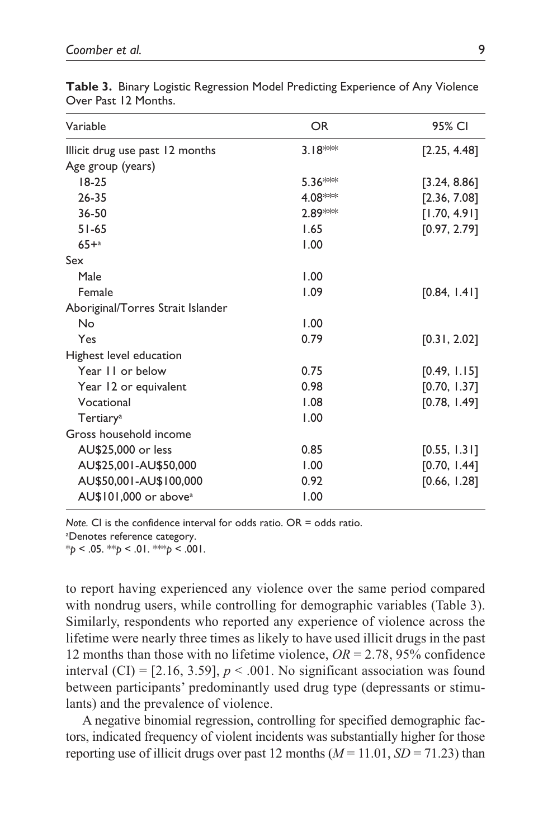| Variable                                  | OR.<br>95% CI           |
|-------------------------------------------|-------------------------|
| Illicit drug use past 12 months           | 3.18**<br>[2.25, 4.48]  |
| Age group (years)                         |                         |
| $18-25$                                   | 5.36***<br>[3.24, 8.86] |
| $26 - 35$                                 | 4.08***<br>[2.36, 7.08] |
| 36-50                                     | 2.89***<br>[1.70, 4.91] |
| $51 - 65$<br>1.65                         | [0.97, 2.79]            |
| $65 + a$<br>1.00                          |                         |
| Sex                                       |                         |
| 1.00<br>Male                              |                         |
| 1.09<br>Female                            | [0.84, 1.41]            |
| Aboriginal/Torres Strait Islander         |                         |
| 1.00<br>No                                |                         |
| 0.79<br>Yes                               | [0.31, 2.02]            |
| Highest level education                   |                         |
| Year II or below<br>0.75                  | [0.49, 1.15]            |
| 0.98<br>Year 12 or equivalent             | [0.70, 1.37]            |
| Vocational<br>1.08                        | [0.78, 1.49]            |
| 1.00<br>Tertiary <sup>a</sup>             |                         |
| Gross household income                    |                         |
| AU\$25,000 or less<br>0.85                | [0.55, 1.31]            |
| 1.00<br>AU\$25,001-AU\$50,000             | [0.70, 1.44]            |
| 0.92<br>AU\$50,001-AU\$100,000            | [0.66, 1.28]            |
| AU\$101,000 or above <sup>a</sup><br>1.00 |                         |

**Table 3.** Binary Logistic Regression Model Predicting Experience of Any Violence Over Past 12 Months.

*Note.* CI is the confidence interval for odds ratio. OR = odds ratio. a Denotes reference category.

 $*_{p}$  < .05.  $*_{p}$  < .01.  $*_{p}$  < .001.

to report having experienced any violence over the same period compared with nondrug users, while controlling for demographic variables (Table 3). Similarly, respondents who reported any experience of violence across the lifetime were nearly three times as likely to have used illicit drugs in the past 12 months than those with no lifetime violence, *OR* = 2.78, 95% confidence interval  $(CI) = [2.16, 3.59], p < .001$ . No significant association was found between participants' predominantly used drug type (depressants or stimulants) and the prevalence of violence.

A negative binomial regression, controlling for specified demographic factors, indicated frequency of violent incidents was substantially higher for those reporting use of illicit drugs over past 12 months  $(M = 11.01, SD = 71.23)$  than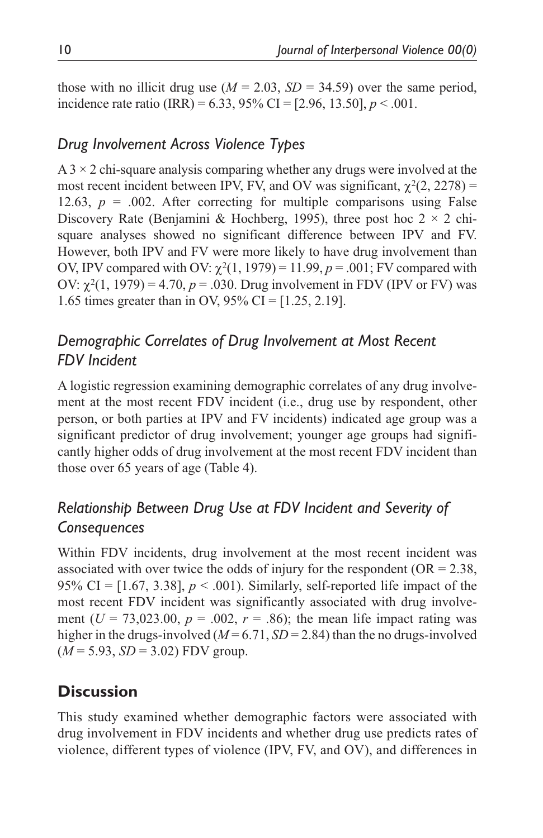those with no illicit drug use  $(M = 2.03, SD = 34.59)$  over the same period, incidence rate ratio (IRR) =  $6.33$ ,  $95\%$  CI =  $[2.96, 13.50]$ ,  $p < .001$ .

# *Drug Involvement Across Violence Types*

 $A$  3  $\times$  2 chi-square analysis comparing whether any drugs were involved at the most recent incident between IPV, FV, and OV was significant,  $\gamma^2$ (2, 2278) = 12.63,  $p = .002$ . After correcting for multiple comparisons using False Discovery Rate (Benjamini & Hochberg, 1995), three post hoc  $2 \times 2$  chisquare analyses showed no significant difference between IPV and FV. However, both IPV and FV were more likely to have drug involvement than OV, IPV compared with OV:  $\chi^2(1, 1979) = 11.99$ ,  $p = .001$ ; FV compared with OV:  $\chi^2(1, 1979) = 4.70$ ,  $p = .030$ . Drug involvement in FDV (IPV or FV) was 1.65 times greater than in OV, 95% CI = [1.25, 2.19].

# *Demographic Correlates of Drug Involvement at Most Recent FDV Incident*

A logistic regression examining demographic correlates of any drug involvement at the most recent FDV incident (i.e., drug use by respondent, other person, or both parties at IPV and FV incidents) indicated age group was a significant predictor of drug involvement; younger age groups had significantly higher odds of drug involvement at the most recent FDV incident than those over 65 years of age (Table 4).

# *Relationship Between Drug Use at FDV Incident and Severity of Consequences*

Within FDV incidents, drug involvement at the most recent incident was associated with over twice the odds of injury for the respondent ( $OR = 2.38$ , 95% CI =  $[1.67, 3.38]$ ,  $p < .001$ ). Similarly, self-reported life impact of the most recent FDV incident was significantly associated with drug involvement ( $U = 73,023.00, p = .002, r = .86$ ); the mean life impact rating was higher in the drugs-involved  $(M=6.71, SD=2.84)$  than the no drugs-involved (*M* = 5.93, *SD* = 3.02) FDV group.

# **Discussion**

This study examined whether demographic factors were associated with drug involvement in FDV incidents and whether drug use predicts rates of violence, different types of violence (IPV, FV, and OV), and differences in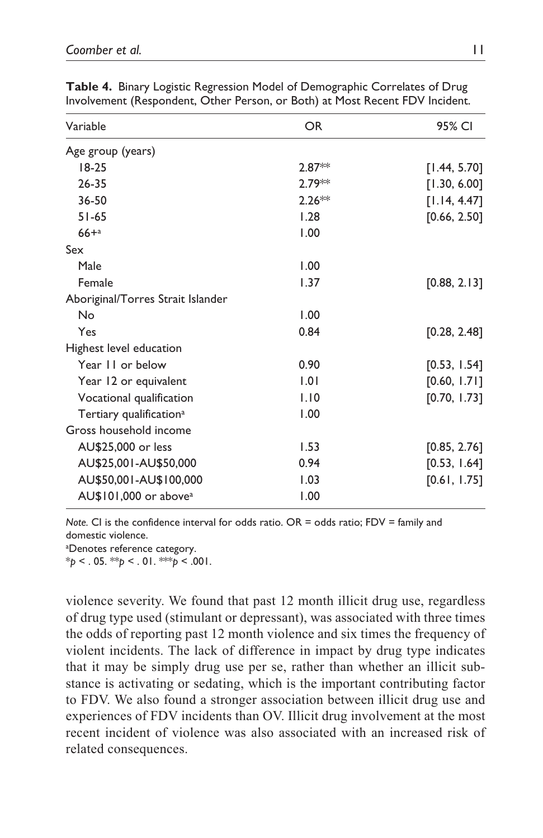| Variable                            | OR.      | 95% CI       |
|-------------------------------------|----------|--------------|
| Age group (years)                   |          |              |
| $18-25$                             | $2.87**$ | [1.44, 5.70] |
| $26 - 35$                           | 2.79**   | [1.30, 6.00] |
| 36-50                               | $2.26**$ | [1.14, 4.47] |
| $51 - 65$                           | 1.28     | [0.66, 2.50] |
| $66 + a$                            | 1.00     |              |
| Sex                                 |          |              |
| Male                                | 1.00     |              |
| Female                              | 1.37     | [0.88, 2.13] |
| Aboriginal/Torres Strait Islander   |          |              |
| No                                  | 1.00     |              |
| Yes                                 | 0.84     | [0.28, 2.48] |
| Highest level education             |          |              |
| Year 11 or below                    | 0.90     | [0.53, 1.54] |
| Year 12 or equivalent               | 1.01     | [0.60, 1.71] |
| Vocational qualification            | 1.10     | [0.70, 1.73] |
| Tertiary qualification <sup>a</sup> | 1.00     |              |
| Gross household income              |          |              |
| AU\$25,000 or less                  | 1.53     | [0.85, 2.76] |
| AU\$25,001-AU\$50,000               | 0.94     | [0.53, 1.64] |
| AU\$50,001-AU\$100,000              | 1.03     | [0.61, 1.75] |
| AU\$101,000 or above <sup>a</sup>   | 1.00     |              |

**Table 4.** Binary Logistic Regression Model of Demographic Correlates of Drug Involvement (Respondent, Other Person, or Both) at Most Recent FDV Incident.

*Note.* CI is the confidence interval for odds ratio. OR = odds ratio; FDV = family and domestic violence.

a Denotes reference category.

 $*_{p}$  < . 05. \*\**p* < . 01. \*\**p* < .001.

violence severity. We found that past 12 month illicit drug use, regardless of drug type used (stimulant or depressant), was associated with three times the odds of reporting past 12 month violence and six times the frequency of violent incidents. The lack of difference in impact by drug type indicates that it may be simply drug use per se, rather than whether an illicit substance is activating or sedating, which is the important contributing factor to FDV. We also found a stronger association between illicit drug use and experiences of FDV incidents than OV. Illicit drug involvement at the most recent incident of violence was also associated with an increased risk of related consequences.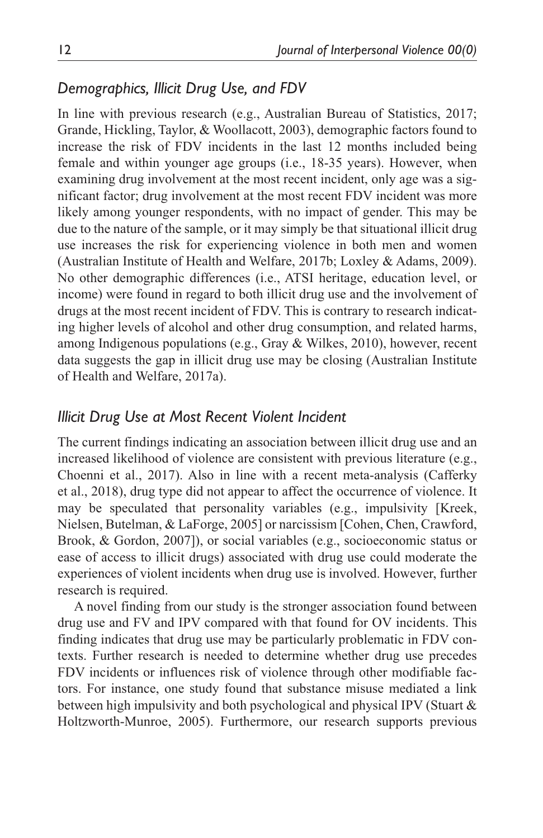### *Demographics, Illicit Drug Use, and FDV*

In line with previous research (e.g., Australian Bureau of Statistics, 2017; Grande, Hickling, Taylor, & Woollacott, 2003), demographic factors found to increase the risk of FDV incidents in the last 12 months included being female and within younger age groups (i.e., 18-35 years). However, when examining drug involvement at the most recent incident, only age was a significant factor; drug involvement at the most recent FDV incident was more likely among younger respondents, with no impact of gender. This may be due to the nature of the sample, or it may simply be that situational illicit drug use increases the risk for experiencing violence in both men and women (Australian Institute of Health and Welfare, 2017b; Loxley & Adams, 2009). No other demographic differences (i.e., ATSI heritage, education level, or income) were found in regard to both illicit drug use and the involvement of drugs at the most recent incident of FDV. This is contrary to research indicating higher levels of alcohol and other drug consumption, and related harms, among Indigenous populations (e.g., Gray & Wilkes, 2010), however, recent data suggests the gap in illicit drug use may be closing (Australian Institute of Health and Welfare, 2017a).

### *Illicit Drug Use at Most Recent Violent Incident*

The current findings indicating an association between illicit drug use and an increased likelihood of violence are consistent with previous literature (e.g., Choenni et al., 2017). Also in line with a recent meta-analysis (Cafferky et al., 2018), drug type did not appear to affect the occurrence of violence. It may be speculated that personality variables (e.g., impulsivity [Kreek, Nielsen, Butelman, & LaForge, 2005] or narcissism [Cohen, Chen, Crawford, Brook, & Gordon, 2007]), or social variables (e.g., socioeconomic status or ease of access to illicit drugs) associated with drug use could moderate the experiences of violent incidents when drug use is involved. However, further research is required.

A novel finding from our study is the stronger association found between drug use and FV and IPV compared with that found for OV incidents. This finding indicates that drug use may be particularly problematic in FDV contexts. Further research is needed to determine whether drug use precedes FDV incidents or influences risk of violence through other modifiable factors. For instance, one study found that substance misuse mediated a link between high impulsivity and both psychological and physical IPV (Stuart & Holtzworth-Munroe, 2005). Furthermore, our research supports previous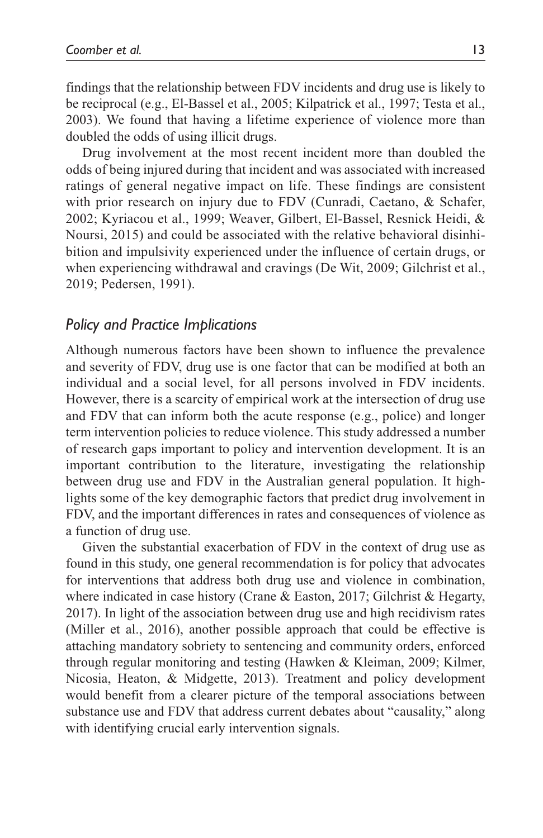findings that the relationship between FDV incidents and drug use is likely to be reciprocal (e.g., El-Bassel et al., 2005; Kilpatrick et al., 1997; Testa et al., 2003). We found that having a lifetime experience of violence more than doubled the odds of using illicit drugs.

Drug involvement at the most recent incident more than doubled the odds of being injured during that incident and was associated with increased ratings of general negative impact on life. These findings are consistent with prior research on injury due to FDV (Cunradi, Caetano, & Schafer, 2002; Kyriacou et al., 1999; Weaver, Gilbert, El-Bassel, Resnick Heidi, & Noursi, 2015) and could be associated with the relative behavioral disinhibition and impulsivity experienced under the influence of certain drugs, or when experiencing withdrawal and cravings (De Wit, 2009; Gilchrist et al., 2019; Pedersen, 1991).

#### *Policy and Practice Implications*

Although numerous factors have been shown to influence the prevalence and severity of FDV, drug use is one factor that can be modified at both an individual and a social level, for all persons involved in FDV incidents. However, there is a scarcity of empirical work at the intersection of drug use and FDV that can inform both the acute response (e.g., police) and longer term intervention policies to reduce violence. This study addressed a number of research gaps important to policy and intervention development. It is an important contribution to the literature, investigating the relationship between drug use and FDV in the Australian general population. It highlights some of the key demographic factors that predict drug involvement in FDV, and the important differences in rates and consequences of violence as a function of drug use.

Given the substantial exacerbation of FDV in the context of drug use as found in this study, one general recommendation is for policy that advocates for interventions that address both drug use and violence in combination, where indicated in case history (Crane & Easton, 2017; Gilchrist & Hegarty, 2017). In light of the association between drug use and high recidivism rates (Miller et al., 2016), another possible approach that could be effective is attaching mandatory sobriety to sentencing and community orders, enforced through regular monitoring and testing (Hawken & Kleiman, 2009; Kilmer, Nicosia, Heaton, & Midgette, 2013). Treatment and policy development would benefit from a clearer picture of the temporal associations between substance use and FDV that address current debates about "causality," along with identifying crucial early intervention signals.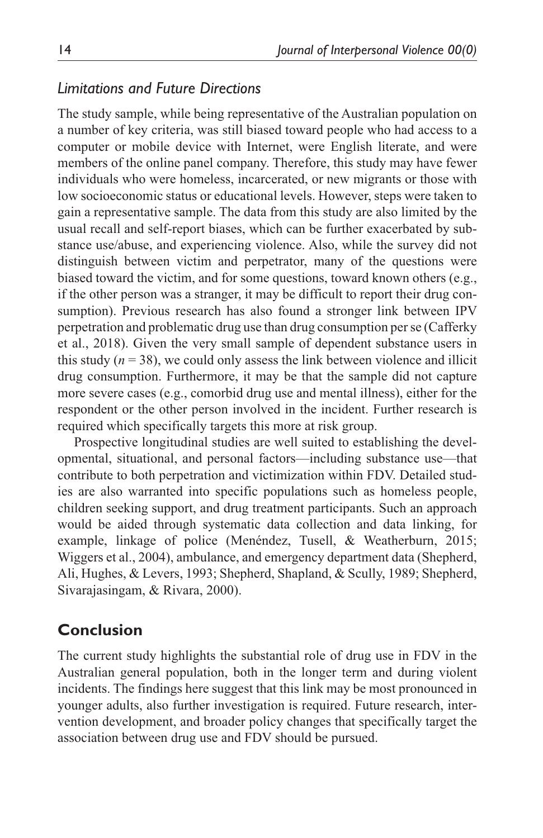### *Limitations and Future Directions*

The study sample, while being representative of the Australian population on a number of key criteria, was still biased toward people who had access to a computer or mobile device with Internet, were English literate, and were members of the online panel company. Therefore, this study may have fewer individuals who were homeless, incarcerated, or new migrants or those with low socioeconomic status or educational levels. However, steps were taken to gain a representative sample. The data from this study are also limited by the usual recall and self-report biases, which can be further exacerbated by substance use/abuse, and experiencing violence. Also, while the survey did not distinguish between victim and perpetrator, many of the questions were biased toward the victim, and for some questions, toward known others (e.g., if the other person was a stranger, it may be difficult to report their drug consumption). Previous research has also found a stronger link between IPV perpetration and problematic drug use than drug consumption per se (Cafferky et al., 2018). Given the very small sample of dependent substance users in this study  $(n = 38)$ , we could only assess the link between violence and illicit drug consumption. Furthermore, it may be that the sample did not capture more severe cases (e.g., comorbid drug use and mental illness), either for the respondent or the other person involved in the incident. Further research is required which specifically targets this more at risk group.

Prospective longitudinal studies are well suited to establishing the developmental, situational, and personal factors—including substance use—that contribute to both perpetration and victimization within FDV. Detailed studies are also warranted into specific populations such as homeless people, children seeking support, and drug treatment participants. Such an approach would be aided through systematic data collection and data linking, for example, linkage of police (Menéndez, Tusell, & Weatherburn, 2015; Wiggers et al., 2004), ambulance, and emergency department data (Shepherd, Ali, Hughes, & Levers, 1993; Shepherd, Shapland, & Scully, 1989; Shepherd, Sivarajasingam, & Rivara, 2000).

### **Conclusion**

The current study highlights the substantial role of drug use in FDV in the Australian general population, both in the longer term and during violent incidents. The findings here suggest that this link may be most pronounced in younger adults, also further investigation is required. Future research, intervention development, and broader policy changes that specifically target the association between drug use and FDV should be pursued.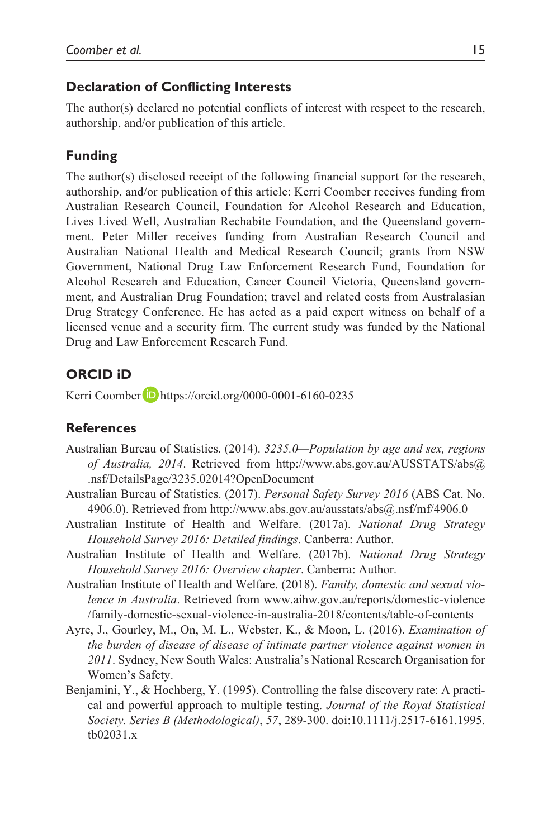### **Declaration of Conflicting Interests**

The author(s) declared no potential conflicts of interest with respect to the research, authorship, and/or publication of this article.

### **Funding**

The author(s) disclosed receipt of the following financial support for the research, authorship, and/or publication of this article: Kerri Coomber receives funding from Australian Research Council, Foundation for Alcohol Research and Education, Lives Lived Well, Australian Rechabite Foundation, and the Queensland government. Peter Miller receives funding from Australian Research Council and Australian National Health and Medical Research Council; grants from NSW Government, National Drug Law Enforcement Research Fund, Foundation for Alcohol Research and Education, Cancer Council Victoria, Queensland government, and Australian Drug Foundation; travel and related costs from Australasian Drug Strategy Conference. He has acted as a paid expert witness on behalf of a licensed venue and a security firm. The current study was funded by the National Drug and Law Enforcement Research Fund.

### **ORCID iD**

Kerri Coomber D <https://orcid.org/0000-0001-6160-0235>

#### **References**

- Australian Bureau of Statistics. (2014). *3235.0—Population by age and sex, regions of Australia, 2014*[. Retrieved from](http://www.abs.gov.au/AUSSTATS/abs@.nsf/DetailsPage/3235.02014) [http://www.abs.gov.au/AUSSTATS/abs](http://www.abs.gov.au/ausstats/abs)[@](http://www.abs.gov.au/AUSSTATS/abs@.nsf/DetailsPage/3235.02014) .nsf/DetailsPage/3235.02014?OpenDocument
- Australian Bureau of Statistics. (2017). *Personal Safety Survey 2016* (ABS Cat. No. 4906.0). Retrieved from<http://www.abs.gov.au/ausstats/abs>[@.nsf/mf/4906.0](http://www.abs.gov.au/ausstats/abs@.nsf/mf/4906.0)
- Australian Institute of Health and Welfare. (2017a). *National Drug Strategy Household Survey 2016: Detailed findings*. Canberra: Author.
- Australian Institute of Health and Welfare. (2017b). *National Drug Strategy Household Survey 2016: Overview chapter*. Canberra: Author.
- Australian Institute of Health and Welfare. (2018). *Family, domestic and sexual violence in Australia*. Retrieved from [www.aihw.gov.au/reports/domestic-violence](www.aihw.gov.au/reports/domestic-violence/family-domestic-sexual-violence-in-australia-2018/contents/table-of-contents) [/family-domestic-sexual-violence-in-australia-2018/contents/table-of-contents](www.aihw.gov.au/reports/domestic-violence/family-domestic-sexual-violence-in-australia-2018/contents/table-of-contents)
- Ayre, J., Gourley, M., On, M. L., Webster, K., & Moon, L. (2016). *Examination of the burden of disease of disease of intimate partner violence against women in 2011*. Sydney, New South Wales: Australia's National Research Organisation for Women's Safety.
- Benjamini, Y., & Hochberg, Y. (1995). Controlling the false discovery rate: A practical and powerful approach to multiple testing. *Journal of the Royal Statistical Society. Series B (Methodological)*, *57*, 289-300. doi:10.1111/j.2517-6161.1995. tb02031.x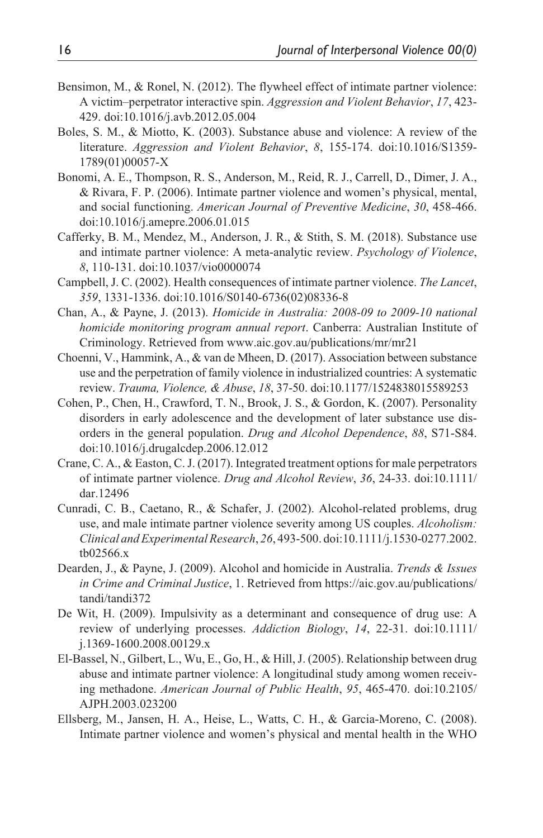- Bensimon, M., & Ronel, N. (2012). The flywheel effect of intimate partner violence: A victim–perpetrator interactive spin. *Aggression and Violent Behavior*, *17*, 423- 429. doi:10.1016/j.avb.2012.05.004
- Boles, S. M., & Miotto, K. (2003). Substance abuse and violence: A review of the literature. *Aggression and Violent Behavior*, *8*, 155-174. doi:10.1016/S1359- 1789(01)00057-X
- Bonomi, A. E., Thompson, R. S., Anderson, M., Reid, R. J., Carrell, D., Dimer, J. A., & Rivara, F. P. (2006). Intimate partner violence and women's physical, mental, and social functioning. *American Journal of Preventive Medicine*, *30*, 458-466. doi:10.1016/j.amepre.2006.01.015
- Cafferky, B. M., Mendez, M., Anderson, J. R., & Stith, S. M. (2018). Substance use and intimate partner violence: A meta-analytic review. *Psychology of Violence*, *8*, 110-131. doi:10.1037/vio0000074
- Campbell, J. C. (2002). Health consequences of intimate partner violence. *The Lancet*, *359*, 1331-1336. doi:10.1016/S0140-6736(02)08336-8
- Chan, A., & Payne, J. (2013). *Homicide in Australia: 2008-09 to 2009-10 national homicide monitoring program annual report*. Canberra: Australian Institute of Criminology. Retrieved from<www.aic.gov.au/publications/mr/mr21>
- Choenni, V., Hammink, A., & van de Mheen, D. (2017). Association between substance use and the perpetration of family violence in industrialized countries: A systematic review. *Trauma, Violence, & Abuse*, *18*, 37-50. doi:10.1177/1524838015589253
- Cohen, P., Chen, H., Crawford, T. N., Brook, J. S., & Gordon, K. (2007). Personality disorders in early adolescence and the development of later substance use disorders in the general population. *Drug and Alcohol Dependence*, *88*, S71-S84. doi:10.1016/j.drugalcdep.2006.12.012
- Crane, C. A., & Easton, C. J. (2017). Integrated treatment options for male perpetrators of intimate partner violence. *Drug and Alcohol Review*, *36*, 24-33. doi:10.1111/ dar.12496
- Cunradi, C. B., Caetano, R., & Schafer, J. (2002). Alcohol-related problems, drug use, and male intimate partner violence severity among US couples. *Alcoholism: Clinical and Experimental Research*, *26*, 493-500. doi:10.1111/j.1530-0277.2002. tb02566.x
- Dearden, J., & Payne, J. (2009). Alcohol and homicide in Australia. *Trends & Issues in Crime and Criminal Justice*, 1. Retrieved from [https://aic.gov.au/publications/](https://aic.gov.au/publications/tandi/tandi372) [tandi/tandi372](https://aic.gov.au/publications/tandi/tandi372)
- De Wit, H. (2009). Impulsivity as a determinant and consequence of drug use: A review of underlying processes. *Addiction Biology*, *14*, 22-31. doi:10.1111/ j.1369-1600.2008.00129.x
- El-Bassel, N., Gilbert, L., Wu, E., Go, H., & Hill, J. (2005). Relationship between drug abuse and intimate partner violence: A longitudinal study among women receiving methadone. *American Journal of Public Health*, *95*, 465-470. doi:10.2105/ AJPH.2003.023200
- Ellsberg, M., Jansen, H. A., Heise, L., Watts, C. H., & Garcia-Moreno, C. (2008). Intimate partner violence and women's physical and mental health in the WHO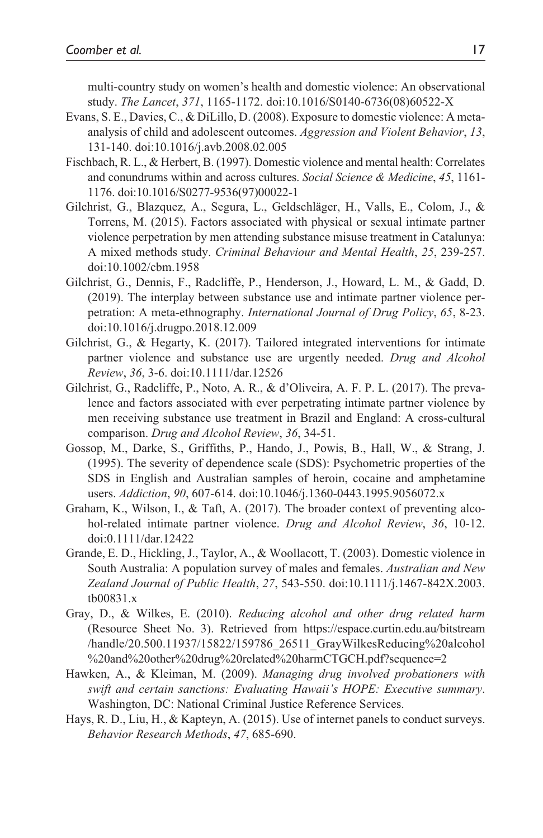multi-country study on women's health and domestic violence: An observational study. *The Lancet*, *371*, 1165-1172. doi:10.1016/S0140-6736(08)60522-X

- Evans, S. E., Davies, C., & DiLillo, D. (2008). Exposure to domestic violence: A metaanalysis of child and adolescent outcomes. *Aggression and Violent Behavior*, *13*, 131-140. doi:10.1016/j.avb.2008.02.005
- Fischbach, R. L., & Herbert, B. (1997). Domestic violence and mental health: Correlates and conundrums within and across cultures. *Social Science & Medicine*, *45*, 1161- 1176. doi:10.1016/S0277-9536(97)00022-1
- Gilchrist, G., Blazquez, A., Segura, L., Geldschläger, H., Valls, E., Colom, J., & Torrens, M. (2015). Factors associated with physical or sexual intimate partner violence perpetration by men attending substance misuse treatment in Catalunya: A mixed methods study. *Criminal Behaviour and Mental Health*, *25*, 239-257. doi:10.1002/cbm.1958
- Gilchrist, G., Dennis, F., Radcliffe, P., Henderson, J., Howard, L. M., & Gadd, D. (2019). The interplay between substance use and intimate partner violence perpetration: A meta-ethnography. *International Journal of Drug Policy*, *65*, 8-23. doi:10.1016/j.drugpo.2018.12.009
- Gilchrist, G., & Hegarty, K. (2017). Tailored integrated interventions for intimate partner violence and substance use are urgently needed. *Drug and Alcohol Review*, *36*, 3-6. doi:10.1111/dar.12526
- Gilchrist, G., Radcliffe, P., Noto, A. R., & d'Oliveira, A. F. P. L. (2017). The prevalence and factors associated with ever perpetrating intimate partner violence by men receiving substance use treatment in Brazil and England: A cross-cultural comparison. *Drug and Alcohol Review*, *36*, 34-51.
- Gossop, M., Darke, S., Griffiths, P., Hando, J., Powis, B., Hall, W., & Strang, J. (1995). The severity of dependence scale (SDS): Psychometric properties of the SDS in English and Australian samples of heroin, cocaine and amphetamine users. *Addiction*, *90*, 607-614. doi:10.1046/j.1360-0443.1995.9056072.x
- Graham, K., Wilson, I., & Taft, A. (2017). The broader context of preventing alcohol-related intimate partner violence. *Drug and Alcohol Review*, *36*, 10-12. doi:0.1111/dar.12422
- Grande, E. D., Hickling, J., Taylor, A., & Woollacott, T. (2003). Domestic violence in South Australia: A population survey of males and females. *Australian and New Zealand Journal of Public Health*, *27*, 543-550. doi:10.1111/j.1467-842X.2003. tb00831.x
- Gray, D., & Wilkes, E. (2010). *Reducing alcohol and other drug related harm* (Resource Sheet No. 3). Retrieved from [https://espace.curtin.edu.au/bitstream](https://espace.curtin.edu.au/bitstream/handle/20.500.11937/15822/159786_26511_GrayWilkesReducing%20alcohol%20and%20other%20drug%20related%20harmCTGCH.pdf?sequence=2) [/handle/20.500.11937/15822/159786\\_26511\\_GrayWilkesReducing%20alcohol](https://espace.curtin.edu.au/bitstream/handle/20.500.11937/15822/159786_26511_GrayWilkesReducing%20alcohol%20and%20other%20drug%20related%20harmCTGCH.pdf?sequence=2) [%20and%20other%20drug%20related%20harmCTGCH.pdf?sequence=2](https://espace.curtin.edu.au/bitstream/handle/20.500.11937/15822/159786_26511_GrayWilkesReducing%20alcohol%20and%20other%20drug%20related%20harmCTGCH.pdf?sequence=2)
- Hawken, A., & Kleiman, M. (2009). *Managing drug involved probationers with swift and certain sanctions: Evaluating Hawaii's HOPE: Executive summary*. Washington, DC: National Criminal Justice Reference Services.
- Hays, R. D., Liu, H., & Kapteyn, A. (2015). Use of internet panels to conduct surveys. *Behavior Research Methods*, *47*, 685-690.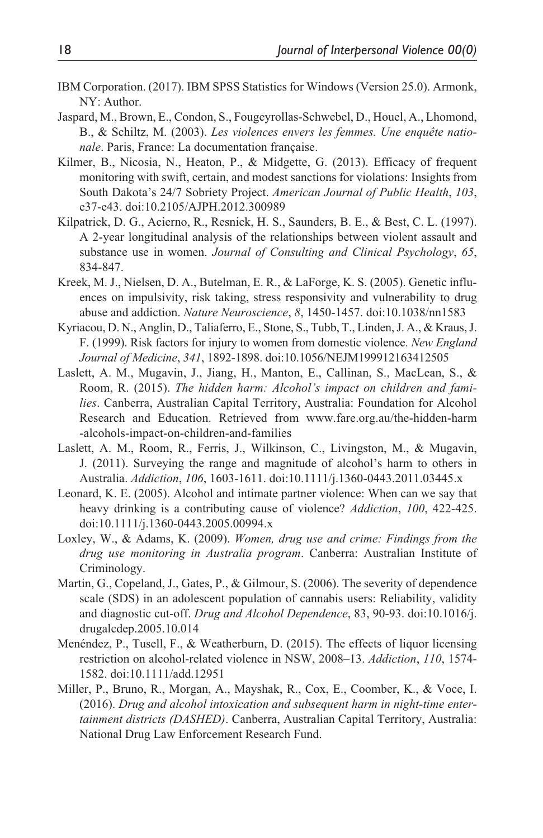- IBM Corporation. (2017). IBM SPSS Statistics for Windows (Version 25.0). Armonk, NY: Author.
- Jaspard, M., Brown, E., Condon, S., Fougeyrollas-Schwebel, D., Houel, A., Lhomond, B., & Schiltz, M. (2003). *Les violences envers les femmes. Une enquête nationale*. Paris, France: La documentation française.
- Kilmer, B., Nicosia, N., Heaton, P., & Midgette, G. (2013). Efficacy of frequent monitoring with swift, certain, and modest sanctions for violations: Insights from South Dakota's 24/7 Sobriety Project. *American Journal of Public Health*, *103*, e37-e43. doi:10.2105/AJPH.2012.300989
- Kilpatrick, D. G., Acierno, R., Resnick, H. S., Saunders, B. E., & Best, C. L. (1997). A 2-year longitudinal analysis of the relationships between violent assault and substance use in women. *Journal of Consulting and Clinical Psychology*, *65*, 834-847.
- Kreek, M. J., Nielsen, D. A., Butelman, E. R., & LaForge, K. S. (2005). Genetic influences on impulsivity, risk taking, stress responsivity and vulnerability to drug abuse and addiction. *Nature Neuroscience*, *8*, 1450-1457. doi:10.1038/nn1583
- Kyriacou, D. N., Anglin, D., Taliaferro, E., Stone, S., Tubb, T., Linden, J. A., & Kraus, J. F. (1999). Risk factors for injury to women from domestic violence. *New England Journal of Medicine*, *341*, 1892-1898. doi:10.1056/NEJM199912163412505
- Laslett, A. M., Mugavin, J., Jiang, H., Manton, E., Callinan, S., MacLean, S., & Room, R. (2015). *The hidden harm: Alcohol's impact on children and families*. Canberra, Australian Capital Territory, Australia: Foundation for Alcohol Research and Education. Retrieved from [www.fare.org.au/the-hidden-harm](www.fare.org.au/the-hidden-harm-alcohols-impact-on-children-and-families) [-alcohols-impact-on-children-and-families](www.fare.org.au/the-hidden-harm-alcohols-impact-on-children-and-families)
- Laslett, A. M., Room, R., Ferris, J., Wilkinson, C., Livingston, M., & Mugavin, J. (2011). Surveying the range and magnitude of alcohol's harm to others in Australia. *Addiction*, *106*, 1603-1611. doi:10.1111/j.1360-0443.2011.03445.x
- Leonard, K. E. (2005). Alcohol and intimate partner violence: When can we say that heavy drinking is a contributing cause of violence? *Addiction*, *100*, 422-425. doi:10.1111/j.1360-0443.2005.00994.x
- Loxley, W., & Adams, K. (2009). *Women, drug use and crime: Findings from the drug use monitoring in Australia program*. Canberra: Australian Institute of Criminology.
- Martin, G., Copeland, J., Gates, P., & Gilmour, S. (2006). The severity of dependence scale (SDS) in an adolescent population of cannabis users: Reliability, validity and diagnostic cut-off. *Drug and Alcohol Dependence*, 83, 90-93. doi:10.1016/j. drugalcdep.2005.10.014
- Menéndez, P., Tusell, F., & Weatherburn, D. (2015). The effects of liquor licensing restriction on alcohol-related violence in NSW, 2008–13. *Addiction*, *110*, 1574- 1582. doi:10.1111/add.12951
- Miller, P., Bruno, R., Morgan, A., Mayshak, R., Cox, E., Coomber, K., & Voce, I. (2016). *Drug and alcohol intoxication and subsequent harm in night-time entertainment districts (DASHED)*. Canberra, Australian Capital Territory, Australia: National Drug Law Enforcement Research Fund.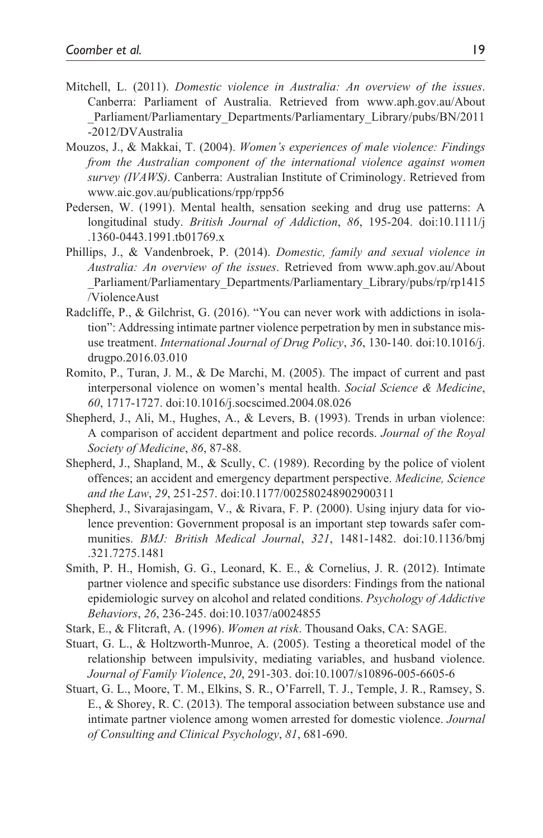- Mitchell, L. (2011). *Domestic violence in Australia: An overview of the issues*. Canberra: Parliament of Australia. Retrieved from [www.aph.gov.au/About](www.aph.gov.au/About_Parliament/Parliamentary_Departments/Parliamentary_Library/pubs/BN/2011-2012/DVAustralia) [\\_Parliament/Parliamentary\\_Departments/Parliamentary\\_Library/pubs/BN/2011](www.aph.gov.au/About_Parliament/Parliamentary_Departments/Parliamentary_Library/pubs/BN/2011-2012/DVAustralia) [-2012/DVAustralia](www.aph.gov.au/About_Parliament/Parliamentary_Departments/Parliamentary_Library/pubs/BN/2011-2012/DVAustralia)
- Mouzos, J., & Makkai, T. (2004). *Women's experiences of male violence: Findings from the Australian component of the international violence against women survey (IVAWS)*. Canberra: Australian Institute of Criminology. Retrieved from <www.aic.gov.au/publications/rpp/rpp56>
- Pedersen, W. (1991). Mental health, sensation seeking and drug use patterns: A longitudinal study. *British Journal of Addiction*, *86*, 195-204. doi:10.1111/j .1360-0443.1991.tb01769.x
- Phillips, J., & Vandenbroek, P. (2014). *Domestic, family and sexual violence in Australia: An overview of the issues*. Retrieved from [www.aph.gov.au/About](www.aph.gov.au/About_Parliament/Parliamentary_Departments/Parliamentary_Library/pubs/rp/rp1415/ViolenceAust) Parliament/Parliamentary\_Departments/Parliamentary\_Library/pubs/rp/rp1415 [/ViolenceAust](www.aph.gov.au/About_Parliament/Parliamentary_Departments/Parliamentary_Library/pubs/rp/rp1415/ViolenceAust)
- Radcliffe, P., & Gilchrist, G. (2016). "You can never work with addictions in isolation": Addressing intimate partner violence perpetration by men in substance misuse treatment. *International Journal of Drug Policy*, *36*, 130-140. doi:10.1016/j. drugpo.2016.03.010
- Romito, P., Turan, J. M., & De Marchi, M. (2005). The impact of current and past interpersonal violence on women's mental health. *Social Science & Medicine*, *60*, 1717-1727. doi:10.1016/j.socscimed.2004.08.026
- Shepherd, J., Ali, M., Hughes, A., & Levers, B. (1993). Trends in urban violence: A comparison of accident department and police records. *Journal of the Royal Society of Medicine*, *86*, 87-88.
- Shepherd, J., Shapland, M., & Scully, C. (1989). Recording by the police of violent offences; an accident and emergency department perspective. *Medicine, Science and the Law*, *29*, 251-257. doi:10.1177/002580248902900311
- Shepherd, J., Sivarajasingam, V., & Rivara, F. P. (2000). Using injury data for violence prevention: Government proposal is an important step towards safer communities. *BMJ: British Medical Journal*, *321*, 1481-1482. doi:10.1136/bmj .321.7275.1481
- Smith, P. H., Homish, G. G., Leonard, K. E., & Cornelius, J. R. (2012). Intimate partner violence and specific substance use disorders: Findings from the national epidemiologic survey on alcohol and related conditions. *Psychology of Addictive Behaviors*, *26*, 236-245. doi:10.1037/a0024855
- Stark, E., & Flitcraft, A. (1996). *Women at risk*. Thousand Oaks, CA: SAGE.
- Stuart, G. L., & Holtzworth-Munroe, A. (2005). Testing a theoretical model of the relationship between impulsivity, mediating variables, and husband violence. *Journal of Family Violence*, *20*, 291-303. doi:10.1007/s10896-005-6605-6
- Stuart, G. L., Moore, T. M., Elkins, S. R., O'Farrell, T. J., Temple, J. R., Ramsey, S. E., & Shorey, R. C. (2013). The temporal association between substance use and intimate partner violence among women arrested for domestic violence. *Journal of Consulting and Clinical Psychology*, *81*, 681-690.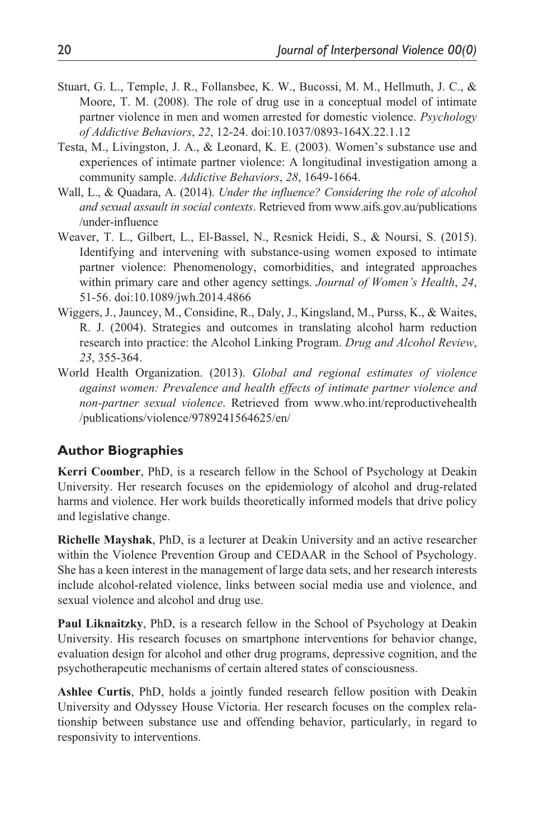- Stuart, G. L., Temple, J. R., Follansbee, K. W., Bucossi, M. M., Hellmuth, J. C., & Moore, T. M. (2008). The role of drug use in a conceptual model of intimate partner violence in men and women arrested for domestic violence. *Psychology of Addictive Behaviors*, *22*, 12-24. doi:10.1037/0893-164X.22.1.12
- Testa, M., Livingston, J. A., & Leonard, K. E. (2003). Women's substance use and experiences of intimate partner violence: A longitudinal investigation among a community sample. *Addictive Behaviors*, *28*, 1649-1664.
- Wall, L., & Quadara, A. (2014). *Under the influence? Considering the role of alcohol and sexual assault in social contexts*. Retrieved from [www.aifs.gov.au/publications](www.aifs.gov.au/publications/under-influence) [/under-influence](www.aifs.gov.au/publications/under-influence)
- Weaver, T. L., Gilbert, L., El-Bassel, N., Resnick Heidi, S., & Noursi, S. (2015). Identifying and intervening with substance-using women exposed to intimate partner violence: Phenomenology, comorbidities, and integrated approaches within primary care and other agency settings. *Journal of Women's Health*, *24*, 51-56. doi:10.1089/jwh.2014.4866
- Wiggers, J., Jauncey, M., Considine, R., Daly, J., Kingsland, M., Purss, K., & Waites, R. J. (2004). Strategies and outcomes in translating alcohol harm reduction research into practice: the Alcohol Linking Program. *Drug and Alcohol Review*, *23*, 355-364.
- World Health Organization. (2013). *Global and regional estimates of violence against women: Prevalence and health effects of intimate partner violence and non-partner sexual violence*. Retrieved from [www.who.int/reproductivehealth](www.who.int/reproductivehealth/publications/violence/9789241564625/en/) [/publications/violence/9789241564625/en/](www.who.int/reproductivehealth/publications/violence/9789241564625/en/)

#### **Author Biographies**

**Kerri Coomber**, PhD, is a research fellow in the School of Psychology at Deakin University. Her research focuses on the epidemiology of alcohol and drug-related harms and violence. Her work builds theoretically informed models that drive policy and legislative change.

**Richelle Mayshak**, PhD, is a lecturer at Deakin University and an active researcher within the Violence Prevention Group and CEDAAR in the School of Psychology. She has a keen interest in the management of large data sets, and her research interests include alcohol-related violence, links between social media use and violence, and sexual violence and alcohol and drug use.

**Paul Liknaitzky**, PhD, is a research fellow in the School of Psychology at Deakin University. His research focuses on smartphone interventions for behavior change, evaluation design for alcohol and other drug programs, depressive cognition, and the psychotherapeutic mechanisms of certain altered states of consciousness.

**Ashlee Curtis**, PhD, holds a jointly funded research fellow position with Deakin University and Odyssey House Victoria. Her research focuses on the complex relationship between substance use and offending behavior, particularly, in regard to responsivity to interventions.